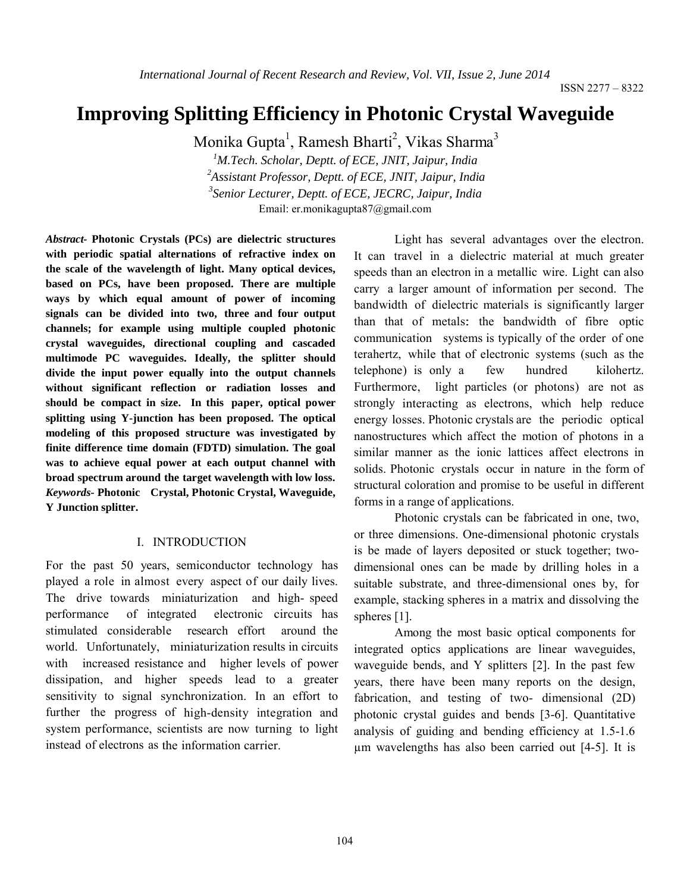# **Improving Splitting Efficiency in Photonic Crystal Waveguide**

Monika Gupta<sup>1</sup>, Ramesh Bharti<sup>2</sup>, Vikas Sharma<sup>3</sup>

 *M.Tech. Scholar, Deptt. of ECE, JNIT, Jaipur, India Assistant Professor, Deptt. of ECE, JNIT, Jaipur, India Senior Lecturer, Deptt. of ECE, JECRC, Jaipur, India* Email: er.monikagupta87@gmail.com

*Abstract-* **Photonic Crystals (PCs) are dielectric structures with periodic spatial alternations of refractive index on the scale of the wavelength of light. Many optical devices, based on PCs, have been proposed. There are multiple ways by which equal amount of power of incoming signals can be divided into two, three and four output channels; for example using multiple coupled photonic crystal waveguides, directional coupling and cascaded multimode PC waveguides. Ideally, the splitter should divide the input power equally into the output channels without significant reflection or radiation losses and should be compact in size. In this paper, optical power splitting using Y-junction has been proposed. The optical modeling of this proposed structure was investigated by finite difference time domain (FDTD) simulation. The goal was to achieve equal power at each output channel with broad spectrum around the target wavelength with low loss.** *Keywords-* **Photonic Crystal, Photonic Crystal, Waveguide, Y Junction splitter.**

### I. INTRODUCTION

For the past 50 years, semiconductor technology has played a role in almost every aspect of our daily lives. The drive towards miniaturization and high- speed performance of integrated electronic circuits has stimulated considerable research effort around the world. Unfortunately, miniaturization results in circuits with increased resistance and higher levels of power dissipation, and higher speeds lead to a greater sensitivity to signal synchronization. In an effort to further the progress of high-density integration and system performance, scientists are now turning to light instead of electrons as the information carrier.

Light has several advantages over the electron. It can travel in a dielectric material at much greater speeds than an electron in a metallic wire. Light can also carry a larger amount of information per second. The bandwidth of dielectric materials is significantly larger than that of metals: the bandwidth of fibre optic communication systems is typically of the order of one terahertz, while that of electronic systems (such as the telephone) is only a few hundred kilohertz. Furthermore, light particles (or photons) are not as strongly interacting as electrons, which help reduce energy losses. Photonic crystals are the periodic optical nanostructures which affect the motion of photons in a similar manner as the ionic lattices affect electrons in solids. Photonic crystals occur in nature in the form of structural coloration and promise to be useful in different forms in a range of applications.

Photonic crystals can be fabricated in one, two, or three dimensions. One-dimensional photonic crystals is be made of layers deposited or stuck together; twodimensional ones can be made by drilling holes in a suitable substrate, and three-dimensional ones by, for example, stacking spheres in a matrix and dissolving the spheres [1].

Among the most basic optical components for integrated optics applications are linear waveguides, waveguide bends, and Y splitters [2]. In the past few years, there have been many reports on the design, fabrication, and testing of two- dimensional (2D) photonic crystal guides and bends [3-6]. Quantitative analysis of guiding and bending efficiency at 1.5-1.6 µm wavelengths has also been carried out [4-5]. It is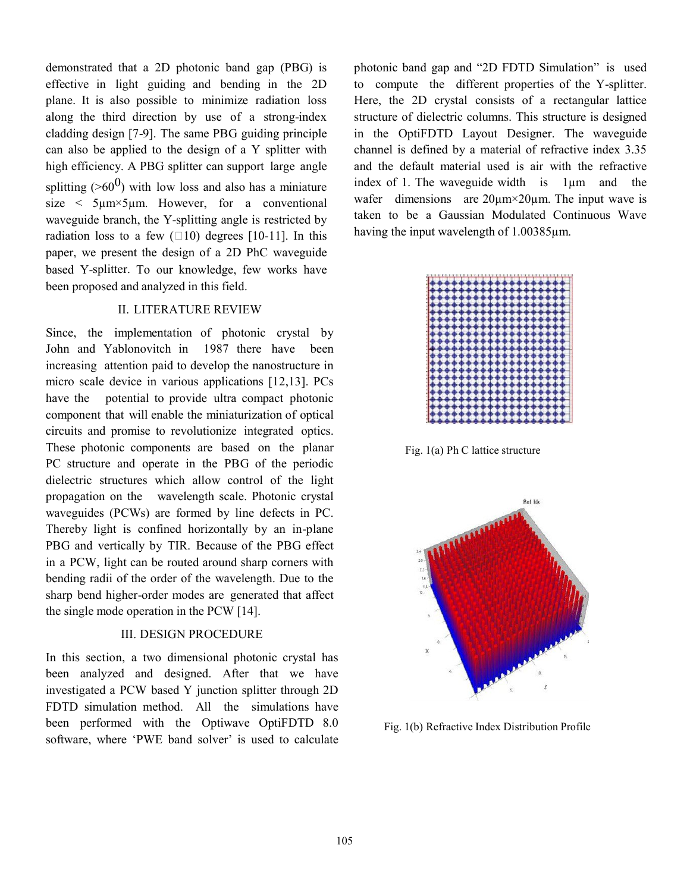demonstrated that a 2D photonic band gap (PBG) is effective in light guiding and bending in the 2D plane. It is also possible to minimize radiation loss along the third direction by use of a strong-index cladding design [7-9]. The same PBG guiding principle can also be applied to the design of a Y splitter with high efficiency. A PBG splitter can support large angle splitting ( $>60^0$ ) with low loss and also has a miniature size  $\leq$  5µm×5µm. However, for a conventional waveguide branch, the Y-splitting angle is restricted by radiation loss to a few  $(10)$  degrees [10-11]. In this paper, we present the design of a 2D PhC waveguide based Y-splitter. To our knowledge, few works have been proposed and analyzed in this field.

### II. LITERATURE REVIEW

Since, the implementation of photonic crystal by John and Yablonovitch in 1987 there have been increasing attention paid to develop the nanostructure in micro scale device in various applications [12,13]. PCs have the potential to provide ultra compact photonic component that will enable the miniaturization of optical circuits and promise to revolutionize integrated optics. These photonic components are based on the planar PC structure and operate in the PBG of the periodic dielectric structures which allow control of the light propagation on the wavelength scale. Photonic crystal waveguides (PCWs) are formed by line defects in PC. Thereby light is confined horizontally by an in-plane PBG and vertically by TIR. Because of the PBG effect in a PCW, light can be routed around sharp corners with bending radii of the order of the wavelength. Due to the sharp bend higher-order modes are generated that affect the single mode operation in the PCW [14].

### III. DESIGN PROCEDURE

In this section, a two dimensional photonic crystal has been analyzed and designed. After that we have investigated a PCW based Y junction splitter through 2D FDTD simulation method. All the simulations have been performed with the Optiwave OptiFDTD 8.0 software, where 'PWE band solver' is used to calculate photonic band gap and "2D FDTD Simulation" is used to compute the different properties of the Y-splitter. Here, the 2D crystal consists of a rectangular lattice structure of dielectric columns. This structure is designed in the OptiFDTD Layout Designer. The waveguide channel is defined by a material of refractive index 3.35 and the default material used is air with the refractive index of 1. The waveguide width is 1µm and the wafer dimensions are  $20\mu m \times 20\mu m$ . The input wave is taken to be a Gaussian Modulated Continuous Wave having the input wavelength of 1.00385µm.

Fig. 1(a) Ph C lattice structure



Fig. 1(b) Refractive Index Distribution Profile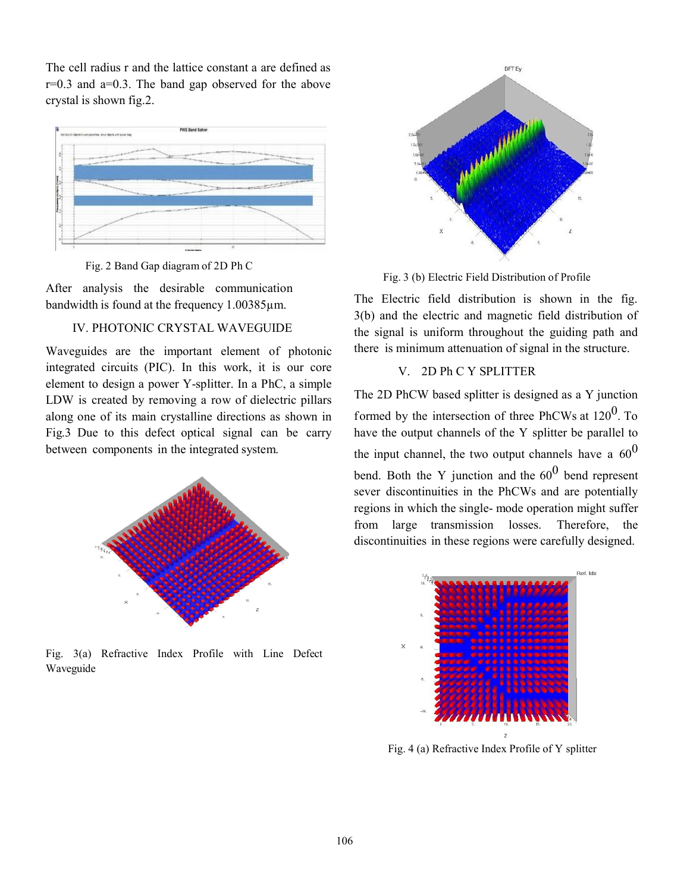The cell radius r and the lattice constant a are defined as  $r=0.3$  and  $a=0.3$ . The band gap observed for the above crystal is shown fig.2.



Fig. 2 Band Gap diagram of 2D Ph C

After analysis the desirable communication bandwidth is found at the frequency 1.00385µm.

# IV. PHOTONIC CRYSTAL WAVEGUIDE

Waveguides are the important element of photonic integrated circuits (PIC). In this work, it is our core element to design a power Y-splitter. In a PhC, a simple LDW is created by removing a row of dielectric pillars along one of its main crystalline directions as shown in Fig.3 Due to this defect optical signal can be carry between components in the integrated system.



Fig. 3(a) Refractive Index Profile with Line Defect Waveguide



Fig. 3 (b) Electric Field Distribution of Profile

The Electric field distribution is shown in the fig. 3(b) and the electric and magnetic field distribution of the signal is uniform throughout the guiding path and there is minimum attenuation of signal in the structure.

# V. 2D Ph C Y SPLITTER

The 2D PhCW based splitter is designed as a Y junction formed by the intersection of three PhCWs at  $120^0$ . To have the output channels of the Y splitter be parallel to the input channel, the two output channels have a  $60^0$ bend. Both the Y junction and the  $60^0$  bend represent sever discontinuities in the PhCWs and are potentially regions in which the single- mode operation might suffer from large transmission losses. Therefore, the discontinuities in these regions were carefully designed.



Fig. 4 (a) Refractive Index Profile of Y splitter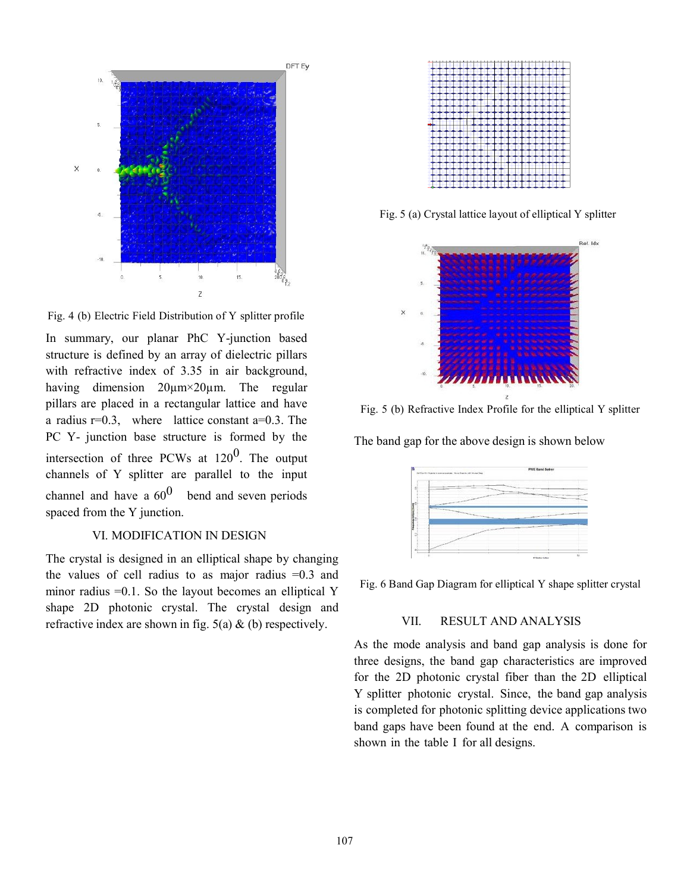

Fig. 4 (b) Electric Field Distribution of Y splitter profile

In summary, our planar PhC Y-junction based structure is defined by an array of dielectric pillars with refractive index of 3.35 in air background, having dimension 20µm×20µm. The regular pillars are placed in a rectangular lattice and have a radius  $r=0.3$ , where lattice constant  $a=0.3$ . The PC Y- junction base structure is formed by the intersection of three PCWs at  $120^0$ . The output channels of Y splitter are parallel to the input channel and have a  $60^0$  bend and seven periods spaced from the Y junction.

# VI. MODIFICATION IN DESIGN

The crystal is designed in an elliptical shape by changing the values of cell radius to as major radius  $=0.3$  and minor radius =0.1. So the layout becomes an elliptical Y shape 2D photonic crystal. The crystal design and refractive index are shown in fig.  $5(a) \& (b)$  respectively.



Fig. 5 (a) Crystal lattice layout of elliptical Y splitter



Fig. 5 (b) Refractive Index Profile for the elliptical Y splitter

The band gap for the above design is shown below



Fig. 6 Band Gap Diagram for elliptical Y shape splitter crystal

## VII. RESULT AND ANALYSIS

As the mode analysis and band gap analysis is done for three designs, the band gap characteristics are improved for the 2D photonic crystal fiber than the 2D elliptical Y splitter photonic crystal. Since, the band gap analysis is completed for photonic splitting device applications two band gaps have been found at the end. A comparison is shown in the table I for all designs.